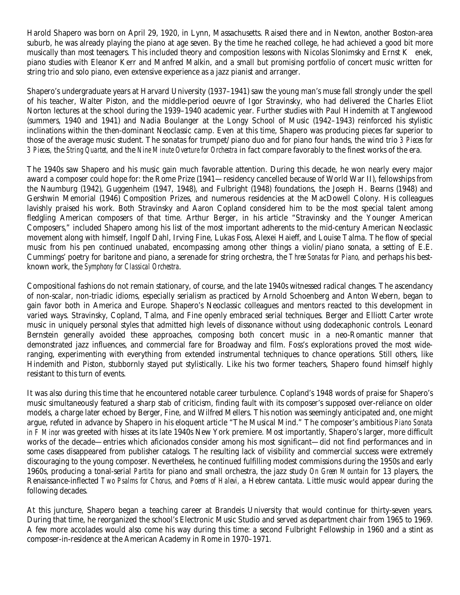Harold Shapero was born on April 29, 1920, in Lynn, Massachusetts. Raised there and in Newton, another Boston-area suburb, he was already playing the piano at age seven. By the time he reached college, he had achieved a good bit more musically than most teenagers. This included theory and composition lessons with Nicolas Slonimsky and Ernst Kenek, piano studies with Eleanor Kerr and Manfred Malkin, and a small but promising portfolio of concert music written for string trio and solo piano, even extensive experience as a jazz pianist and arranger.

Shapero's undergraduate years at Harvard University (1937–1941) saw the young man's muse fall strongly under the spell of his teacher, Walter Piston, and the middle-period oeuvre of Igor Stravinsky, who had delivered the Charles Eliot Norton lectures at the school during the 1939–1940 academic year. Further studies with Paul Hindemith at Tanglewood (summers, 1940 and 1941) and Nadia Boulanger at the Longy School of Music (1942–1943) reinforced his stylistic inclinations within the then-dominant Neoclassic camp. Even at this time, Shapero was producing pieces far superior to those of the average music student. The sonatas for trumpet/piano duo and for piano four hands, the wind trio *3 Pieces for 3 Pieces,* the *String Quartet,* and the *Nine Minute Overture for Orchestra* in fact compare favorably to the finest works of the era.

The 1940s saw Shapero and his music gain much favorable attention. During this decade, he won nearly every major award a composer could hope for: the Rome Prize (1941—residency cancelled because of World War II), fellowships from the Naumburg (1942), Guggenheim (1947, 1948), and Fulbright (1948) foundations, the Joseph H. Bearns (1948) and Gershwin Memorial (1946) Composition Prizes, and numerous residencies at the MacDowell Colony. His colleagues lavishly praised his work. Both Stravinsky and Aaron Copland considered him to be the most special talent among fledgling American composers of that time. Arthur Berger, in his article "Stravinsky and the Younger American Composers," included Shapero among his list of the most important adherents to the mid-century American Neoclassic movement along with himself, Ingolf Dahl, Irving Fine, Lukas Foss, Alexei Haieff, and Louise Talma. The flow of special music from his pen continued unabated, encompassing among other things a violin/piano sonata, a setting of E.E. Cummings' poetry for baritone and piano, a serenade for string orchestra, the *Three Sonatas for Piano,* and perhaps his bestknown work, the *Symphony for Classical Orchestra*.

Compositional fashions do not remain stationary, of course, and the late 1940s witnessed radical changes. The ascendancy of non-scalar, non-triadic idioms, especially serialism as practiced by Arnold Schoenberg and Anton Webern, began to gain favor both in America and Europe. Shapero's Neoclassic colleagues and mentors reacted to this development in varied ways. Stravinsky, Copland, Talma, and Fine openly embraced serial techniques. Berger and Elliott Carter wrote music in uniquely personal styles that admitted high levels of dissonance without using dodecaphonic controls. Leonard Bernstein generally avoided these approaches, composing both concert music in a neo-Romantic manner that demonstrated jazz influences, and commercial fare for Broadway and film. Foss's explorations proved the most wideranging, experimenting with everything from extended instrumental techniques to chance operations. Still others, like Hindemith and Piston, stubbornly stayed put stylistically. Like his two former teachers, Shapero found himself highly resistant to this turn of events.

It was also during this time that he encountered notable career turbulence. Copland's 1948 words of praise for Shapero's music simultaneously featured a sharp stab of criticism, finding fault with its composer's supposed over-reliance on older models, a charge later echoed by Berger, Fine, and Wilfred Mellers. This notion was seemingly anticipated and, one might argue, refuted in advance by Shapero in his eloquent article "The Musical Mind." The composer's ambitious *Piano Sonata in F Minor* was greeted with hisses at its late 1940s New York premiere. Most importantly, Shapero's larger, more difficult works of the decade—entries which aficionados consider among his most significant—did not find performances and in some cases disappeared from publisher catalogs. The resulting lack of visibility and commercial success were extremely discouraging to the young composer. Nevertheless, he continued fulfilling modest commissions during the 1950s and early 1960s, producing a tonal-serial *Partita* for piano and small orchestra, the jazz study *On Green Mountain* for 13 players, the Renaissance-inflected *Two Psalms for Chorus,* and *Poems of Halevi,* a Hebrew cantata. Little music would appear during the following decades.

At this juncture, Shapero began a teaching career at Brandeis University that would continue for thirty-seven years. During that time, he reorganized the school's Electronic Music Studio and served as department chair from 1965 to 1969. A few more accolades would also come his way during this time: a second Fulbright Fellowship in 1960 and a stint as composer-in-residence at the American Academy in Rome in 1970–1971.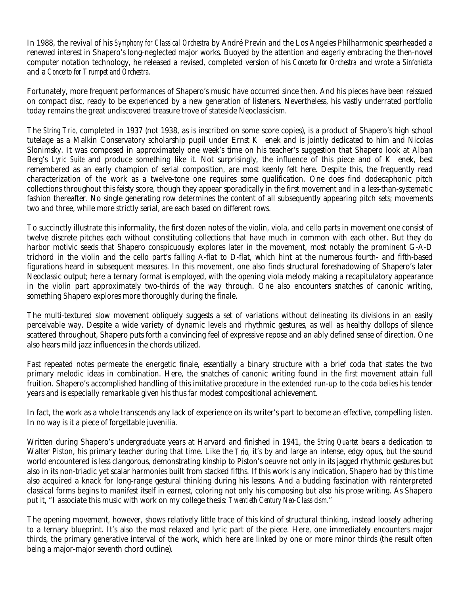In 1988, the revival of his *Symphony for Classical Orchestra* by André Previn and the Los Angeles Philharmonic spearheaded a renewed interest in Shapero's long-neglected major works. Buoyed by the attention and eagerly embracing the then-novel computer notation technology, he released a revised, completed version of his *Concerto for Orchestra* and wrote a *Sinfonietta* and a *Concerto for Trumpet and Orchestra.*

Fortunately, more frequent performances of Shapero's music have occurred since then. And his pieces have been reissued on compact disc, ready to be experienced by a new generation of listeners. Nevertheless, his vastly underrated portfolio today remains the great undiscovered treasure trove of stateside Neoclassicism.

The *String Trio,* completed in 1937 (not 1938, as is inscribed on some score copies), is a product of Shapero's high school tutelage as a Malkin Conservatory scholarship pupil under Ernst K enek and is jointly dedicated to him and Nicolas Slonimsky. It was composed in approximately one week's time on his teacher's suggestion that Shapero look at Alban Berg's *Lyric Suite* and produce something like it. Not surprisingly, the influence of this piece and of K enek, best remembered as an early champion of serial composition, are most keenly felt here. Despite this, the frequently read characterization of the work as a twelve-tone one requires some qualification. One does find dodecaphonic pitch collections throughout this feisty score, though they appear sporadically in the first movement and in a less-than-systematic fashion thereafter. No single generating row determines the content of all subsequently appearing pitch sets; movements two and three, while more strictly serial, are each based on different rows.

To succinctly illustrate this informality, the first dozen notes of the violin, viola, and cello parts in movement one consist of twelve discrete pitches each without constituting collections that have much in common with each other. But they do harbor motivic seeds that Shapero conspicuously explores later in the movement, most notably the prominent G-A-D trichord in the violin and the cello part's falling A-flat to D-flat, which hint at the numerous fourth- and fifth-based figurations heard in subsequent measures. In this movement, one also finds structural foreshadowing of Shapero's later Neoclassic output; here a ternary format is employed, with the opening viola melody making a recapitulatory appearance in the violin part approximately two-thirds of the way through. One also encounters snatches of canonic writing, something Shapero explores more thoroughly during the finale.

The multi-textured slow movement obliquely suggests a set of variations without delineating its divisions in an easily perceivable way. Despite a wide variety of dynamic levels and rhythmic gestures, as well as healthy dollops of silence scattered throughout, Shapero puts forth a convincing feel of expressive repose and an ably defined sense of direction. One also hears mild jazz influences in the chords utilized.

Fast repeated notes permeate the energetic finale, essentially a binary structure with a brief coda that states the two primary melodic ideas in combination. Here, the snatches of canonic writing found in the first movement attain full fruition. Shapero's accomplished handling of this imitative procedure in the extended run-up to the coda belies his tender years and is especially remarkable given his thus far modest compositional achievement.

In fact, the work as a whole transcends any lack of experience on its writer's part to become an effective, compelling listen. In no way is it a piece of forgettable juvenilia.

Written during Shapero's undergraduate years at Harvard and finished in 1941, the *String Quartet* bears a dedication to Walter Piston, his primary teacher during that time. Like the *Trio,* it's by and large an intense, edgy opus, but the sound world encountered is less clangorous, demonstrating kinship to Piston's oeuvre not only in its jagged rhythmic gestures but also in its non-triadic yet scalar harmonies built from stacked fifths. If this work is any indication, Shapero had by this time also acquired a knack for long-range gestural thinking during his lessons. And a budding fascination with reinterpreted classical forms begins to manifest itself in earnest, coloring not only his composing but also his prose writing. As Shapero put it, "I associate this music with work on my college thesis: *Twentieth Century Neo-Classicism.*"

The opening movement, however, shows relatively little trace of this kind of structural thinking, instead loosely adhering to a ternary blueprint. It's also the most relaxed and lyric part of the piece. Here, one immediately encounters major thirds, the primary generative interval of the work, which here are linked by one or more minor thirds (the result often being a major-major seventh chord outline).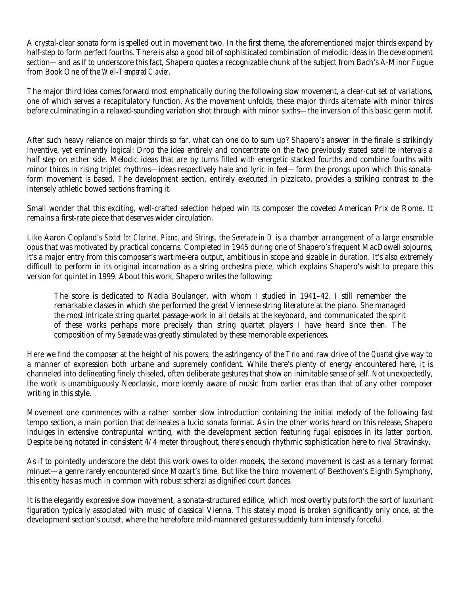A crystal-clear sonata form is spelled out in movement two. In the first theme, the aforementioned major thirds expand by half-step to form perfect fourths. There is also a good bit of sophisticated combination of melodic ideas in the development section—and as if to underscore this fact, Shapero quotes a recognizable chunk of the subject from Bach's A-Minor Fugue from Book One of the *Well-Tempered Clavier.*

The major third idea comes forward most emphatically during the following slow movement, a clear-cut set of variations, one of which serves a recapitulatory function. As the movement unfolds, these major thirds alternate with minor thirds before culminating in a relaxed-sounding variation shot through with minor sixths—the inversion of this basic germ motif.

After such heavy reliance on major thirds so far, what can one do to sum up? Shapero's answer in the finale is strikingly inventive, yet eminently logical: Drop the idea entirely and concentrate on the two previously stated satellite intervals a half step on either side. Melodic ideas that are by turns filled with energetic stacked fourths and combine fourths with minor thirds in rising triplet rhythms—ideas respectively hale and lyric in feel—form the prongs upon which this sonataform movement is based. The development section, entirely executed in pizzicato, provides a striking contrast to the intensely athletic bowed sections framing it.

Small wonder that this exciting, well-crafted selection helped win its composer the coveted American Prix de Rome. It remains a first-rate piece that deserves wider circulation.

Like Aaron Copland's *Sextet for Clarinet, Piano, and Strings,* the *Serenade in D* is a chamber arrangement of a large ensemble opus that was motivated by practical concerns. Completed in 1945 during one of Shapero's frequent MacDowell sojourns, it's a major entry from this composer's wartime-era output, ambitious in scope and sizable in duration. It's also extremely difficult to perform in its original incarnation as a string orchestra piece, which explains Shapero's wish to prepare this version for quintet in 1999. About this work, Shapero writes the following:

The score is dedicated to Nadia Boulanger, with whom I studied in 1941–42. I still remember the remarkable classes in which she performed the great Viennese string literature at the piano. She managed the most intricate string quartet passage-work in all details at the keyboard, and communicated the spirit of these works perhaps more precisely than string quartet players I have heard since then. The composition of my *Serenade* was greatly stimulated by these memorable experiences.

Here we find the composer at the height of his powers; the astringency of the *Trio* and raw drive of the *Quartet* give way to a manner of expression both urbane and supremely confident. While there's plenty of energy encountered here, it is channeled into delineating finely chiseled, often deliberate gestures that show an inimitable sense of self. Not unexpectedly, the work is unambiguously Neoclassic, more keenly aware of music from earlier eras than that of any other composer writing in this style.

Movement one commences with a rather somber slow introduction containing the initial melody of the following fast tempo section, a main portion that delineates a lucid sonata format. As in the other works heard on this release, Shapero indulges in extensive contrapuntal writing, with the development section featuring fugal episodes in its latter portion. Despite being notated in consistent 4/4 meter throughout, there's enough rhythmic sophistication here to rival Stravinsky.

As if to pointedly underscore the debt this work owes to older models, the second movement is cast as a ternary format minuet—a genre rarely encountered since Mozart's time. But like the third movement of Beethoven's Eighth Symphony, this entity has as much in common with robust scherzi as dignified court dances.

It is the elegantly expressive slow movement, a sonata-structured edifice, which most overtly puts forth the sort of luxuriant figuration typically associated with music of classical Vienna. This stately mood is broken significantly only once, at the development section's outset, where the heretofore mild-mannered gestures suddenly turn intensely forceful.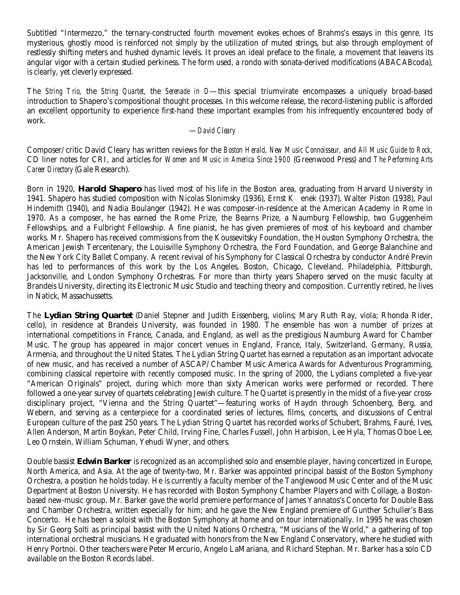Subtitled "Intermezzo," the ternary-constructed fourth movement evokes echoes of Brahms's essays in this genre. Its mysterious, ghostly mood is reinforced not simply by the utilization of muted strings, but also through employment of restlessly shifting meters and hushed dynamic levels. It proves an ideal preface to the finale, a movement that leavens its angular vigor with a certain studied perkiness. The form used, a rondo with sonata-derived modifications (ABACABcoda), is clearly, yet cleverly expressed.

The *String Trio,* the *String Quartet,* the *Serenade in D*—this special triumvirate encompasses a uniquely broad-based introduction to Shapero's compositional thought processes. In this welcome release, the record-listening public is afforded an excellent opportunity to experience first-hand these important examples from his infrequently encountered body of work.

#### —*David Cleary*

Composer/critic David Cleary has written reviews for the *Boston Herald, New Music Connoisseur,* and *All Music Guide to Rock,* CD liner notes for CRI, and articles for *Women and Music in America Since 1900* (Greenwood Press) and *The Performing Arts Career Directory* (Gale Research).

Born in 1920, **Harold Shapero** has lived most of his life in the Boston area, graduating from Harvard University in 1941. Shapero has studied composition with Nicolas Slonimsky (1936), Ernst K enek (1937), Walter Piston (1938), Paul Hindemith (1940), and Nadia Boulanger (1942). He was composer-in-residence at the American Academy in Rome in 1970. As a composer, he has earned the Rome Prize, the Bearns Prize, a Naumburg Fellowship, two Guggenheim Fellowships, and a Fulbright Fellowship. A fine pianist, he has given premieres of most of his keyboard and chamber works. Mr. Shapero has received commissions from the Koussevitsky Foundation, the Houston Symphony Orchestra, the American Jewish Tercentenary, the Louisville Symphony Orchestra, the Ford Foundation, and George Balanchine and the New York City Ballet Company. A recent revival of his Symphony for Classical Orchestra by conductor André Previn has led to performances of this work by the Los Angeles, Boston, Chicago, Cleveland, Philadelphia, Pittsburgh, Jacksonville, and London Symphony Orchestras. For more than thirty years Shapero served on the music faculty at Brandeis University, directing its Electronic Music Studio and teaching theory and composition. Currently retired, he lives in Natick, Massachussetts.

The **Lydian String Quartet** (Daniel Stepner and Judith Eissenberg, violins; Mary Ruth Ray, viola; Rhonda Rider, cello), in residence at Brandeis University, was founded in 1980. The ensemble has won a number of prizes at international competitions in France, Canada, and England, as well as the prestigious Naumburg Award for Chamber Music. The group has appeared in major concert venues in England, France, Italy, Switzerland, Germany, Russia, Armenia, and throughout the United States. The Lydian String Quartet has earned a reputation as an important advocate of new music, and has received a number of ASCAP/Chamber Music America Awards for Adventurous Programming, combining classical repertoire with recently composed music. In the spring of 2000, the Lydians completed a five-year "American Originals" project, during which more than sixty American works were performed or recorded. There followed a one-year survey of quartets celebrating Jewish culture. The Quartet is presently in the midst of a five-year crossdisciplinary project, "Vienna and the String Quartet"—featuring works of Haydn through Schoenberg, Berg, and Webern, and serving as a centerpiece for a coordinated series of lectures, films, concerts, and discussions of Central European culture of the past 250 years. The Lydian String Quartet has recorded works of Schubert, Brahms, Fauré, Ives, Allen Anderson, Martin Boykan, Peter Child, Irving Fine, Charles Fussell, John Harbision, Lee Hyla, Thomas Oboe Lee, Leo Ornstein, William Schuman, Yehudi Wyner, and others.

Double bassist **Edwin Barker** is recognized as an accomplished solo and ensemble player, having concertized in Europe, North America, and Asia. At the age of twenty-two, Mr. Barker was appointed principal bassist of the Boston Symphony Orchestra, a position he holds today. He is currently a faculty member of the Tanglewood Music Center and of the Music Department at Boston University. He has recorded with Boston Symphony Chamber Players and with Collage, a Bostonbased new-music group. Mr. Barker gave the world premiere performance of James Yannatos's Concerto for Double Bass and Chamber Orchestra, written especially for him; and he gave the New England premiere of Gunther Schuller's Bass Concerto. He has been a soloist with the Boston Symphony at home and on tour internationally. In 1995 he was chosen by Sir Georg Solti as principal bassist with the United Nations Orchestra, "Musicians of the World," a gathering of top international orchestral musicians. He graduated with honors from the New England Conservatory, where he studied with Henry Portnoi. Other teachers were Peter Mercurio, Angelo LaMariana, and Richard Stephan. Mr. Barker has a solo CD available on the Boston Records label.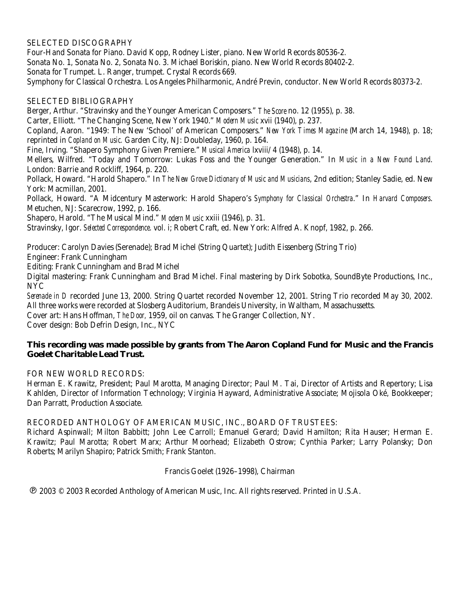## SELECTED DISCOGRAPHY

Four-Hand Sonata for Piano. David Kopp, Rodney Lister, piano. New World Records 80536-2. Sonata No. 1, Sonata No. 2, Sonata No. 3. Michael Boriskin, piano. New World Records 80402-2. Sonata for Trumpet. L. Ranger, trumpet. Crystal Records 669. Symphony for Classical Orchestra. Los Angeles Philharmonic, André Previn, conductor. New World Records 80373-2.

### SELECTED BIBLIOGRAPHY

Berger, Arthur. "Stravinsky and the Younger American Composers." *The Score* no. 12 (1955), p. 38. Carter, Elliott. "The Changing Scene, New York 1940." *Modern Music* xvii (1940), p. 237. Copland, Aaron. "1949: The New 'School' of American Composers." *New York Times Magazine* (March 14, 1948), p. 18; reprinted in *Copland on Music.* Garden City, NJ: Doubleday, 1960, p. 164. Fine, Irving. "Shapero Symphony Given Premiere." *Musical America* lxviii/4 (1948), p. 14. Mellers, Wilfred. "Today and Tomorrow: Lukas Foss and the Younger Generation." In *Music in a New Found Land*. London: Barrie and Rockliff, 1964, p. 220. Pollack, Howard. "Harold Shapero." In *The New Grove Dictionary of Music and Musicians*, 2nd edition; Stanley Sadie, ed. New York: Macmillan, 2001. Pollack, Howard. "A Midcentury Masterwork: Harold Shapero's *Symphony for Classical Orchestra*." In *Harvard Composers*. Metuchen, NJ: Scarecrow, 1992, p. 166.

Shapero, Harold. "The Musical Mind." *Modern Music* xxiii (1946), p. 31.

Stravinsky, Igor. *Selected Correspondence*. vol. i; Robert Craft, ed. New York: Alfred A. Knopf, 1982, p. 266.

Producer: Carolyn Davies (Serenade); Brad Michel (String Quartet); Judith Eissenberg (String Trio)

Engineer: Frank Cunningham

Editing: Frank Cunningham and Brad Michel

Digital mastering: Frank Cunningham and Brad Michel. Final mastering by Dirk Sobotka, SoundByte Productions, Inc., NYC

*Serenade in D* recorded June 13, 2000. String Quartet recorded November 12, 2001. String Trio recorded May 30, 2002. All three works were recorded at Slosberg Auditorium, Brandeis University, in Waltham, Massachussetts. Cover art: Hans Hoffman, *The Door,* 1959, oil on canvas. The Granger Collection, NY. Cover design: Bob Defrin Design, Inc., NYC

# **This recording was made possible by grants from The Aaron Copland Fund for Music and the Francis Goelet Charitable Lead Trust.**

FOR NEW WORLD RECORDS:

Herman E. Krawitz, President; Paul Marotta, Managing Director; Paul M. Tai, Director of Artists and Repertory; Lisa Kahlden, Director of Information Technology; Virginia Hayward, Administrative Associate; Mojisola Oké, Bookkeeper; Dan Parratt, Production Associate.

#### RECORDED ANTHOLOGY OF AMERICAN MUSIC, INC., BOARD OF TRUSTEES:

Richard Aspinwall; Milton Babbitt; John Lee Carroll; Emanuel Gerard; David Hamilton; Rita Hauser; Herman E. Krawitz; Paul Marotta; Robert Marx; Arthur Moorhead; Elizabeth Ostrow; Cynthia Parker; Larry Polansky; Don Roberts; Marilyn Shapiro; Patrick Smith; Frank Stanton.

## Francis Goelet (1926–1998), Chairman

! 2003 © 2003 Recorded Anthology of American Music, Inc. All rights reserved. Printed in U.S.A.